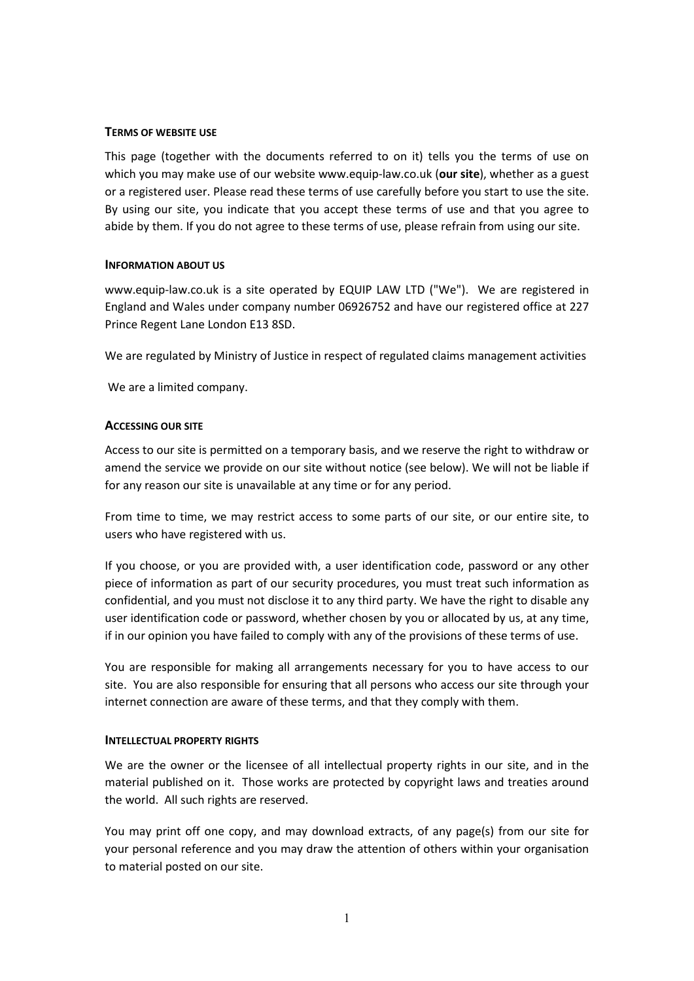### **TERMS OF WEBSITE USE**

This page (together with the documents referred to on it) tells you the terms of use on which you may make use of our website www.equip-law.co.uk (**our site**), whether as a guest or a registered user. Please read these terms of use carefully before you start to use the site. By using our site, you indicate that you accept these terms of use and that you agree to abide by them. If you do not agree to these terms of use, please refrain from using our site.

### **INFORMATION ABOUT US**

www.equip-law.co.uk is a site operated by EQUIP LAW LTD ("We"). We are registered in England and Wales under company number 06926752 and have our registered office at 227 Prince Regent Lane London E13 8SD.

We are regulated by Ministry of Justice in respect of regulated claims management activities

We are a limited company.

### **ACCESSING OUR SITE**

Access to our site is permitted on a temporary basis, and we reserve the right to withdraw or amend the service we provide on our site without notice (see below). We will not be liable if for any reason our site is unavailable at any time or for any period.

From time to time, we may restrict access to some parts of our site, or our entire site, to users who have registered with us.

If you choose, or you are provided with, a user identification code, password or any other piece of information as part of our security procedures, you must treat such information as confidential, and you must not disclose it to any third party. We have the right to disable any user identification code or password, whether chosen by you or allocated by us, at any time, if in our opinion you have failed to comply with any of the provisions of these terms of use.

You are responsible for making all arrangements necessary for you to have access to our site. You are also responsible for ensuring that all persons who access our site through your internet connection are aware of these terms, and that they comply with them.

#### **INTELLECTUAL PROPERTY RIGHTS**

We are the owner or the licensee of all intellectual property rights in our site, and in the material published on it. Those works are protected by copyright laws and treaties around the world. All such rights are reserved.

You may print off one copy, and may download extracts, of any page(s) from our site for your personal reference and you may draw the attention of others within your organisation to material posted on our site.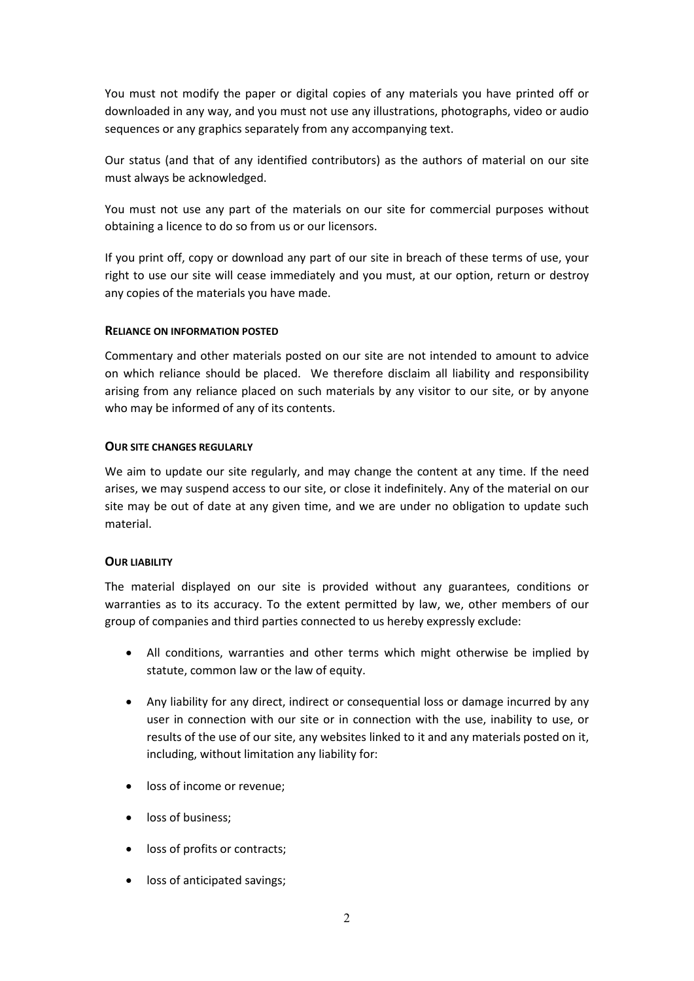You must not modify the paper or digital copies of any materials you have printed off or downloaded in any way, and you must not use any illustrations, photographs, video or audio sequences or any graphics separately from any accompanying text.

Our status (and that of any identified contributors) as the authors of material on our site must always be acknowledged.

You must not use any part of the materials on our site for commercial purposes without obtaining a licence to do so from us or our licensors.

If you print off, copy or download any part of our site in breach of these terms of use, your right to use our site will cease immediately and you must, at our option, return or destroy any copies of the materials you have made.

## **RELIANCE ON INFORMATION POSTED**

Commentary and other materials posted on our site are not intended to amount to advice on which reliance should be placed. We therefore disclaim all liability and responsibility arising from any reliance placed on such materials by any visitor to our site, or by anyone who may be informed of any of its contents.

### **OUR SITE CHANGES REGULARLY**

We aim to update our site regularly, and may change the content at any time. If the need arises, we may suspend access to our site, or close it indefinitely. Any of the material on our site may be out of date at any given time, and we are under no obligation to update such material.

#### **OUR LIABILITY**

The material displayed on our site is provided without any guarantees, conditions or warranties as to its accuracy. To the extent permitted by law, we, other members of our group of companies and third parties connected to us hereby expressly exclude:

- All conditions, warranties and other terms which might otherwise be implied by statute, common law or the law of equity.
- Any liability for any direct, indirect or consequential loss or damage incurred by any user in connection with our site or in connection with the use, inability to use, or results of the use of our site, any websites linked to it and any materials posted on it, including, without limitation any liability for:
- loss of income or revenue;
- loss of business:
- loss of profits or contracts:
- loss of anticipated savings;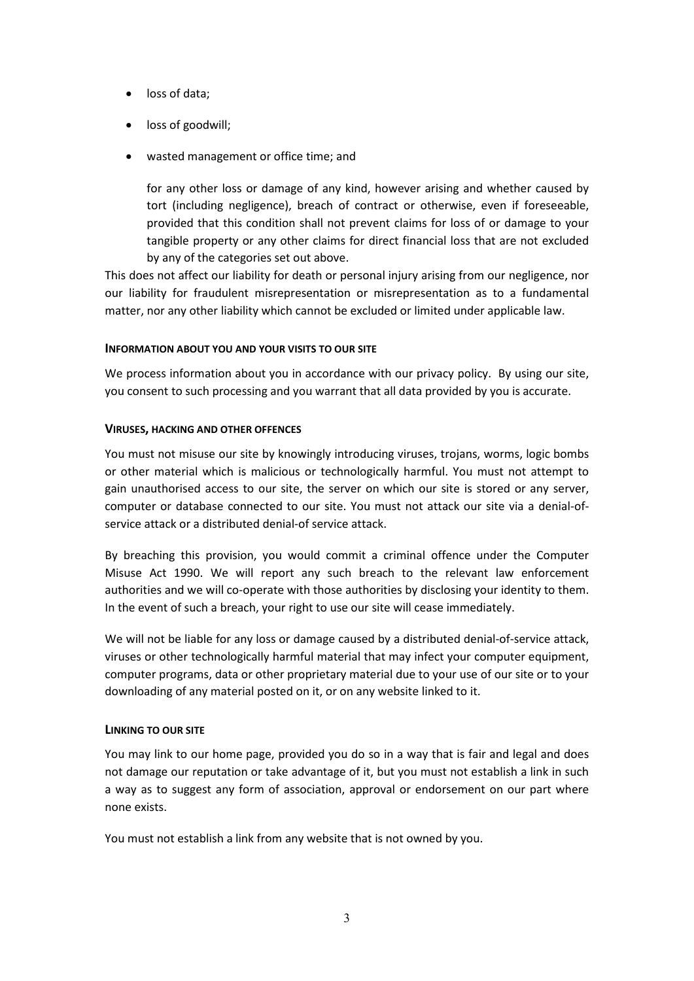- loss of data;
- loss of goodwill;
- wasted management or office time; and

for any other loss or damage of any kind, however arising and whether caused by tort (including negligence), breach of contract or otherwise, even if foreseeable, provided that this condition shall not prevent claims for loss of or damage to your tangible property or any other claims for direct financial loss that are not excluded by any of the categories set out above.

This does not affect our liability for death or personal injury arising from our negligence, nor our liability for fraudulent misrepresentation or misrepresentation as to a fundamental matter, nor any other liability which cannot be excluded or limited under applicable law.

# **INFORMATION ABOUT YOU AND YOUR VISITS TO OUR SITE**

We process information about you in accordance with our privacy policy. By using our site, you consent to such processing and you warrant that all data provided by you is accurate.

# **VIRUSES, HACKING AND OTHER OFFENCES**

You must not misuse our site by knowingly introducing viruses, trojans, worms, logic bombs or other material which is malicious or technologically harmful. You must not attempt to gain unauthorised access to our site, the server on which our site is stored or any server, computer or database connected to our site. You must not attack our site via a denial-ofservice attack or a distributed denial-of service attack.

By breaching this provision, you would commit a criminal offence under the Computer Misuse Act 1990. We will report any such breach to the relevant law enforcement authorities and we will co-operate with those authorities by disclosing your identity to them. In the event of such a breach, your right to use our site will cease immediately.

We will not be liable for any loss or damage caused by a distributed denial-of-service attack, viruses or other technologically harmful material that may infect your computer equipment, computer programs, data or other proprietary material due to your use of our site or to your downloading of any material posted on it, or on any website linked to it.

# **LINKING TO OUR SITE**

You may link to our home page, provided you do so in a way that is fair and legal and does not damage our reputation or take advantage of it, but you must not establish a link in such a way as to suggest any form of association, approval or endorsement on our part where none exists.

You must not establish a link from any website that is not owned by you.